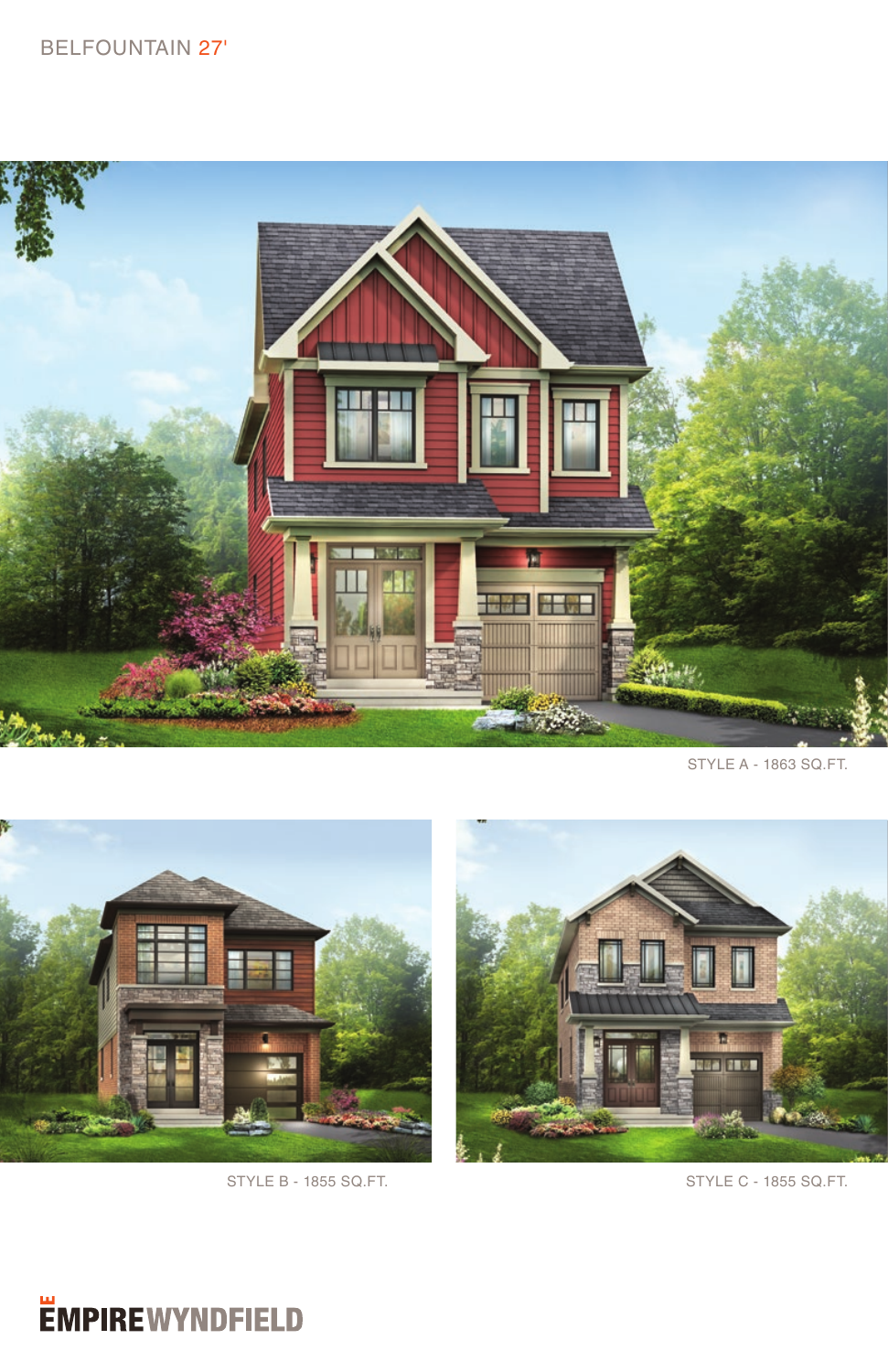## BELFOUNTAIN 27'



STYLE A - 1863 SQ.FT.





STYLE B - 1855 SQ.FT. STYLE C - 1855 SQ.FT.

## *<u>EMPIREWYNDFIELD</u>*